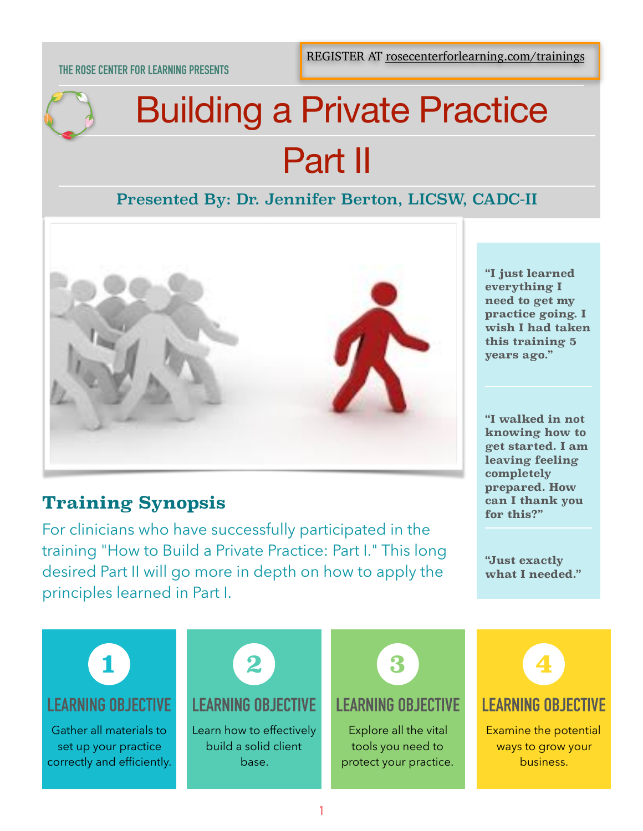#### **THE ROSE CENTER FOR LEARNING PRESENTS**

# Building a Private Practice Part II

## Presented By: Dr. Jennifer Berton, LICSW, CADC-II



# **Training Synopsis**

For clinicians who have successfully participated in the training "How to Build a Private Practice: Part I." This long desired Part II will go more in depth on how to apply the principles learned in Part I.

**"I just learned everything I need to get my practice going. I wish I had taken this training 5 years ago."** 

**"I walked in not knowing how to get started. I am leaving feeling completely prepared. How can I thank you for this?"** 

**"Just exactly what I needed."**